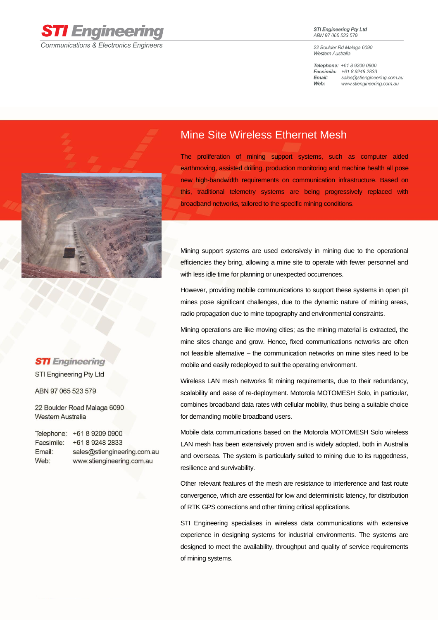

**STI Engineering Pty Ltd** ABN 97 065 523 579

22 Boulder Rd Malaga 6090 Western Australia

Telephone: +61 8 9209 0900 Facsimile: +61 8 9248 2833 sales@stiengineering.com.au Email: Web: www.stiengineering.com.au



## **STI** Engineering

STI Engineering Pty Ltd

ABN 97 065 523 579

22 Boulder Road Malaga 6090 **Western Australia** 

Telephone: +61 8 9209 0900 Facsimile: +61 8 9248 2833 Email: sales@stiengineering.com.au Web: www.stiengineering.com.au

## Mine Site Wireless Ethernet Mesh

The proliferation of mining support systems, such as computer aided earthmoving, assisted drilling, production monitoring and machine health all pose new high-bandwidth requirements on communication infrastructure. Based on this, traditional telemetry systems are being progressively replaced with broadband networks, tailored to the specific mining conditions.

Mining support systems are used extensively in mining due to the operational efficiencies they bring, allowing a mine site to operate with fewer personnel and with less idle time for planning or unexpected occurrences.

However, providing mobile communications to support these systems in open pit mines pose significant challenges, due to the dynamic nature of mining areas, radio propagation due to mine topography and environmental constraints.

Mining operations are like moving cities; as the mining material is extracted, the mine sites change and grow. Hence, fixed communications networks are often not feasible alternative – the communication networks on mine sites need to be mobile and easily redeployed to suit the operating environment.

Wireless LAN mesh networks fit mining requirements, due to their redundancy, scalability and ease of re-deployment. Motorola MOTOMESH Solo, in particular, combines broadband data rates with cellular mobility, thus being a suitable choice for demanding mobile broadband users.

Mobile data communications based on the Motorola MOTOMESH Solo wireless LAN mesh has been extensively proven and is widely adopted, both in Australia and overseas. The system is particularly suited to mining due to its ruggedness, resilience and survivability.

Other relevant features of the mesh are resistance to interference and fast route convergence, which are essential for low and deterministic latency, for distribution of RTK GPS corrections and other timing critical applications.

STI Engineering specialises in wireless data communications with extensive experience in designing systems for industrial environments. The systems are designed to meet the availability, throughput and quality of service requirements of mining systems.